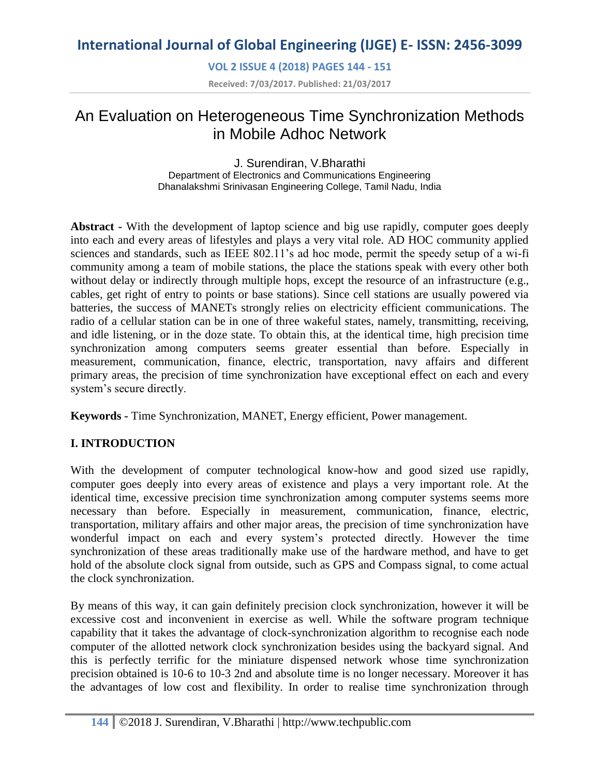**VOL 2 ISSUE 4 (2018) PAGES 144 - 151**

**Received: 7/03/2017. Published: 21/03/2017**

# An Evaluation on Heterogeneous Time Synchronization Methods in Mobile Adhoc Network

J. Surendiran, V.Bharathi Department of Electronics and Communications Engineering Dhanalakshmi Srinivasan Engineering College, Tamil Nadu, India

**Abstract -** With the development of laptop science and big use rapidly, computer goes deeply into each and every areas of lifestyles and plays a very vital role. AD HOC community applied sciences and standards, such as IEEE 802.11's ad hoc mode, permit the speedy setup of a wi-fi community among a team of mobile stations, the place the stations speak with every other both without delay or indirectly through multiple hops, except the resource of an infrastructure (e.g., cables, get right of entry to points or base stations). Since cell stations are usually powered via batteries, the success of MANETs strongly relies on electricity efficient communications. The radio of a cellular station can be in one of three wakeful states, namely, transmitting, receiving, and idle listening, or in the doze state. To obtain this, at the identical time, high precision time synchronization among computers seems greater essential than before. Especially in measurement, communication, finance, electric, transportation, navy affairs and different primary areas, the precision of time synchronization have exceptional effect on each and every system's secure directly.

**Keywords -** Time Synchronization, MANET, Energy efficient, Power management.

## **I. INTRODUCTION**

With the development of computer technological know-how and good sized use rapidly, computer goes deeply into every areas of existence and plays a very important role. At the identical time, excessive precision time synchronization among computer systems seems more necessary than before. Especially in measurement, communication, finance, electric, transportation, military affairs and other major areas, the precision of time synchronization have wonderful impact on each and every system's protected directly. However the time synchronization of these areas traditionally make use of the hardware method, and have to get hold of the absolute clock signal from outside, such as GPS and Compass signal, to come actual the clock synchronization.

By means of this way, it can gain definitely precision clock synchronization, however it will be excessive cost and inconvenient in exercise as well. While the software program technique capability that it takes the advantage of clock-synchronization algorithm to recognise each node computer of the allotted network clock synchronization besides using the backyard signal. And this is perfectly terrific for the miniature dispensed network whose time synchronization precision obtained is 10-6 to 10-3 2nd and absolute time is no longer necessary. Moreover it has the advantages of low cost and flexibility. In order to realise time synchronization through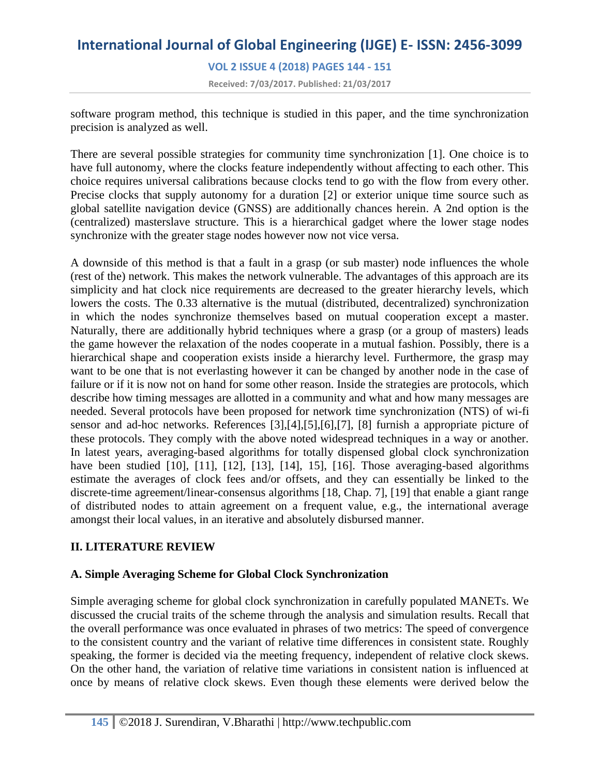# **International Journal of Global Engineering (IJGE) E- ISSN: 2456-3099 VOL 2 ISSUE 4 (2018) PAGES 144 - 151 Received: 7/03/2017. Published: 21/03/2017**

software program method, this technique is studied in this paper, and the time synchronization precision is analyzed as well.

There are several possible strategies for community time synchronization [1]. One choice is to have full autonomy, where the clocks feature independently without affecting to each other. This choice requires universal calibrations because clocks tend to go with the flow from every other. Precise clocks that supply autonomy for a duration [2] or exterior unique time source such as global satellite navigation device (GNSS) are additionally chances herein. A 2nd option is the (centralized) masterslave structure. This is a hierarchical gadget where the lower stage nodes synchronize with the greater stage nodes however now not vice versa.

A downside of this method is that a fault in a grasp (or sub master) node influences the whole (rest of the) network. This makes the network vulnerable. The advantages of this approach are its simplicity and hat clock nice requirements are decreased to the greater hierarchy levels, which lowers the costs. The 0.33 alternative is the mutual (distributed, decentralized) synchronization in which the nodes synchronize themselves based on mutual cooperation except a master. Naturally, there are additionally hybrid techniques where a grasp (or a group of masters) leads the game however the relaxation of the nodes cooperate in a mutual fashion. Possibly, there is a hierarchical shape and cooperation exists inside a hierarchy level. Furthermore, the grasp may want to be one that is not everlasting however it can be changed by another node in the case of failure or if it is now not on hand for some other reason. Inside the strategies are protocols, which describe how timing messages are allotted in a community and what and how many messages are needed. Several protocols have been proposed for network time synchronization (NTS) of wi-fi sensor and ad-hoc networks. References [3],[4],[5],[6],[7], [8] furnish a appropriate picture of these protocols. They comply with the above noted widespread techniques in a way or another. In latest years, averaging-based algorithms for totally dispensed global clock synchronization have been studied [10], [11], [12], [13], [14], 15], [16]. Those averaging-based algorithms estimate the averages of clock fees and/or offsets, and they can essentially be linked to the discrete-time agreement/linear-consensus algorithms [18, Chap. 7], [19] that enable a giant range of distributed nodes to attain agreement on a frequent value, e.g., the international average amongst their local values, in an iterative and absolutely disbursed manner.

## **II. LITERATURE REVIEW**

## **A. Simple Averaging Scheme for Global Clock Synchronization**

Simple averaging scheme for global clock synchronization in carefully populated MANETs. We discussed the crucial traits of the scheme through the analysis and simulation results. Recall that the overall performance was once evaluated in phrases of two metrics: The speed of convergence to the consistent country and the variant of relative time differences in consistent state. Roughly speaking, the former is decided via the meeting frequency, independent of relative clock skews. On the other hand, the variation of relative time variations in consistent nation is influenced at once by means of relative clock skews. Even though these elements were derived below the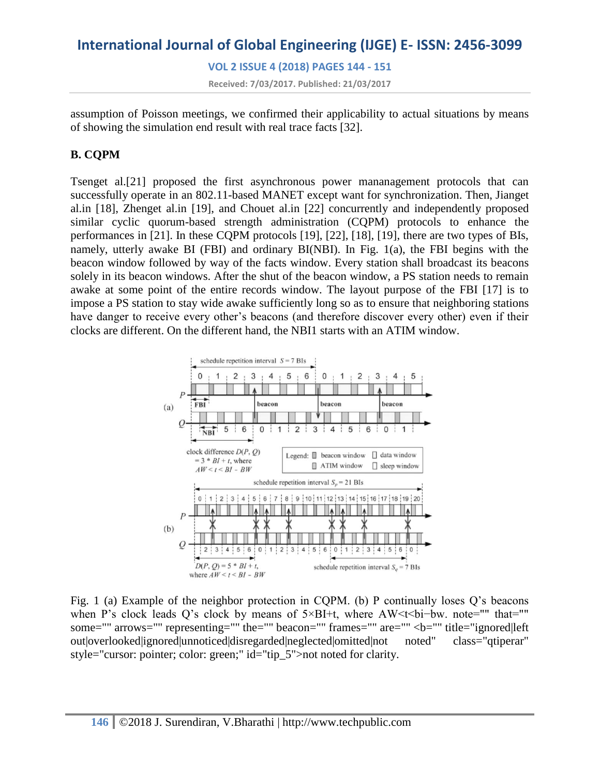**VOL 2 ISSUE 4 (2018) PAGES 144 - 151 Received: 7/03/2017. Published: 21/03/2017**

assumption of Poisson meetings, we confirmed their applicability to actual situations by means of showing the simulation end result with real trace facts [32].

# **B. CQPM**

Tsenget al.[21] proposed the first asynchronous power mananagement protocols that can successfully operate in an 802.11-based MANET except want for synchronization. Then, Jianget al.in [18], Zhenget al.in [19], and Chouet al.in [22] concurrently and independently proposed similar cyclic quorum-based strength administration (CQPM) protocols to enhance the performances in [21]. In these CQPM protocols [19], [22], [18], [19], there are two types of BIs, namely, utterly awake BI (FBI) and ordinary BI(NBI). In Fig. 1(a), the FBI begins with the beacon window followed by way of the facts window. Every station shall broadcast its beacons solely in its beacon windows. After the shut of the beacon window, a PS station needs to remain awake at some point of the entire records window. The layout purpose of the FBI [17] is to impose a PS station to stay wide awake sufficiently long so as to ensure that neighboring stations have danger to receive every other's beacons (and therefore discover every other) even if their clocks are different. On the different hand, the NBI1 starts with an ATIM window.



Fig. 1 (a) Example of the neighbor protection in CQPM. (b) P continually loses Q's beacons when P's clock leads Q's clock by means of 5×BI+t, where AW<t<br/><br/>t-bw. note="" that="" some="" arrows="" representing="" the="" beacon="" frames="" are="" <b="" title="ignored|left out|overlooked|ignored|unnoticed|disregarded|neglected|omitted|not noted" class="qtiperar" style="cursor: pointer; color: green;" id="tip\_5">not noted for clarity.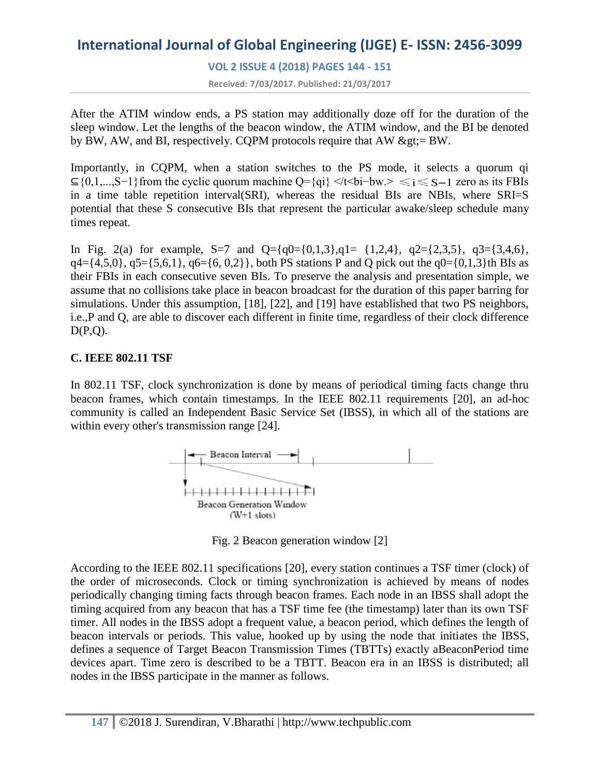**VOL 2 ISSUE 4 (2018) PAGES 144 - 151**

**Received: 7/03/2017. Published: 21/03/2017**

After the ATIM window ends, a PS station may additionally doze off for the duration of the sleep window. Let the lengths of the beacon window, the ATIM window, and the BI be denoted by BW, AW, and BI, respectively. CQPM protocols require that AW  $\>gt;$  BW.

Importantly, in CQPM, when a station switches to the PS mode, it selects a quorum qi ⊆{0,1,...,S−1}from the cyclic quorum machine Q={qi} </t<br/>solid  $Q = \{q_i\}$  </t<br/>solid  $Q = \{q_i\}$  </t<br/>solid  $Q = \{q_i\}$ in a time table repetition interval(SRI), whereas the residual BIs are NBIs, where SRI=S potential that these S consecutive BIs that represent the particular awake/sleep schedule many times repeat.

In Fig. 2(a) for example, S=7 and Q={q0={0,1,3},q1= {1,2,4}, q2={2,3,5}, q3={3,4,6},  $q4 = \{4,5,0\}$ ,  $q5 = \{5,6,1\}$ ,  $q6 = \{6, 0,2\}$ , both PS stations P and Q pick out the  $q0 = \{0,1,3\}$ th BIs as their FBIs in each consecutive seven BIs. To preserve the analysis and presentation simple, we assume that no collisions take place in beacon broadcast for the duration of this paper barring for simulations. Under this assumption, [18], [22], and [19] have established that two PS neighbors, i.e.,P and Q, are able to discover each different in finite time, regardless of their clock difference  $D(P,Q)$ .

## **C. IEEE 802.11 TSF**

In 802.11 TSF, clock synchronization is done by means of periodical timing facts change thru beacon frames, which contain timestamps. In the IEEE 802.11 requirements [20], an ad-hoc community is called an Independent Basic Service Set (IBSS), in which all of the stations are within every other's transmission range [24].



Fig. 2 Beacon generation window [2]

According to the IEEE 802.11 specifications [20], every station continues a TSF timer (clock) of the order of microseconds. Clock or timing synchronization is achieved by means of nodes periodically changing timing facts through beacon frames. Each node in an IBSS shall adopt the timing acquired from any beacon that has a TSF time fee (the timestamp) later than its own TSF timer. All nodes in the IBSS adopt a frequent value, a beacon period, which defines the length of beacon intervals or periods. This value, hooked up by using the node that initiates the IBSS, defines a sequence of Target Beacon Transmission Times (TBTTs) exactly aBeaconPeriod time devices apart. Time zero is described to be a TBTT. Beacon era in an IBSS is distributed; all nodes in the IBSS participate in the manner as follows.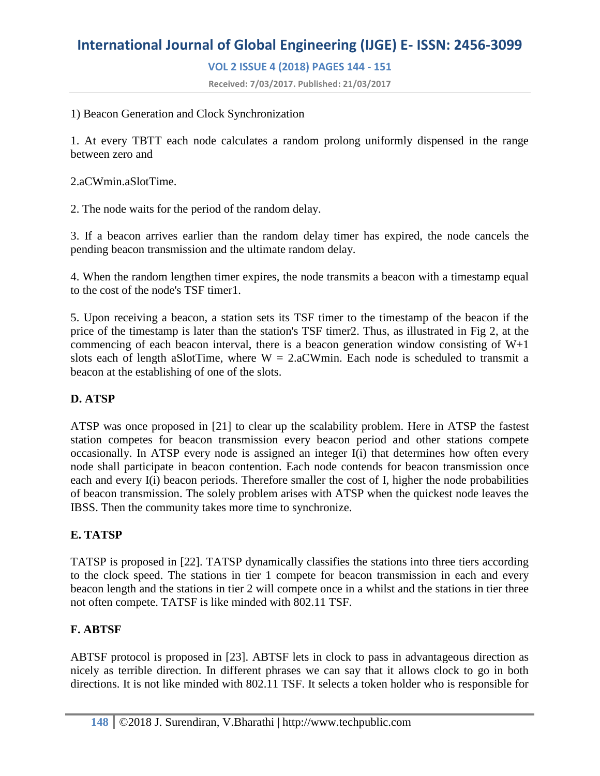**VOL 2 ISSUE 4 (2018) PAGES 144 - 151**

**Received: 7/03/2017. Published: 21/03/2017**

1) Beacon Generation and Clock Synchronization

1. At every TBTT each node calculates a random prolong uniformly dispensed in the range between zero and

2.aCWmin.aSlotTime.

2. The node waits for the period of the random delay.

3. If a beacon arrives earlier than the random delay timer has expired, the node cancels the pending beacon transmission and the ultimate random delay.

4. When the random lengthen timer expires, the node transmits a beacon with a timestamp equal to the cost of the node's TSF timer1.

5. Upon receiving a beacon, a station sets its TSF timer to the timestamp of the beacon if the price of the timestamp is later than the station's TSF timer2. Thus, as illustrated in Fig 2, at the commencing of each beacon interval, there is a beacon generation window consisting of W+1 slots each of length aSlotTime, where  $W = 2.aCW$ min. Each node is scheduled to transmit a beacon at the establishing of one of the slots.

## **D. ATSP**

ATSP was once proposed in [21] to clear up the scalability problem. Here in ATSP the fastest station competes for beacon transmission every beacon period and other stations compete occasionally. In ATSP every node is assigned an integer I(i) that determines how often every node shall participate in beacon contention. Each node contends for beacon transmission once each and every I(i) beacon periods. Therefore smaller the cost of I, higher the node probabilities of beacon transmission. The solely problem arises with ATSP when the quickest node leaves the IBSS. Then the community takes more time to synchronize.

#### **E. TATSP**

TATSP is proposed in [22]. TATSP dynamically classifies the stations into three tiers according to the clock speed. The stations in tier 1 compete for beacon transmission in each and every beacon length and the stations in tier 2 will compete once in a whilst and the stations in tier three not often compete. TATSF is like minded with 802.11 TSF.

#### **F. ABTSF**

ABTSF protocol is proposed in [23]. ABTSF lets in clock to pass in advantageous direction as nicely as terrible direction. In different phrases we can say that it allows clock to go in both directions. It is not like minded with 802.11 TSF. It selects a token holder who is responsible for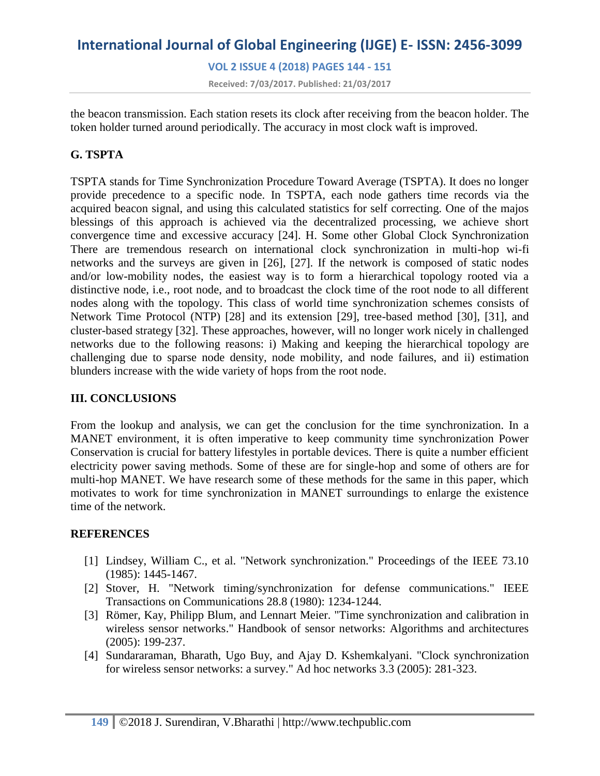**VOL 2 ISSUE 4 (2018) PAGES 144 - 151 Received: 7/03/2017. Published: 21/03/2017**

the beacon transmission. Each station resets its clock after receiving from the beacon holder. The token holder turned around periodically. The accuracy in most clock waft is improved.

## **G. TSPTA**

TSPTA stands for Time Synchronization Procedure Toward Average (TSPTA). It does no longer provide precedence to a specific node. In TSPTA, each node gathers time records via the acquired beacon signal, and using this calculated statistics for self correcting. One of the majos blessings of this approach is achieved via the decentralized processing, we achieve short convergence time and excessive accuracy [24]. H. Some other Global Clock Synchronization There are tremendous research on international clock synchronization in multi-hop wi-fi networks and the surveys are given in [26], [27]. If the network is composed of static nodes and/or low-mobility nodes, the easiest way is to form a hierarchical topology rooted via a distinctive node, i.e., root node, and to broadcast the clock time of the root node to all different nodes along with the topology. This class of world time synchronization schemes consists of Network Time Protocol (NTP) [28] and its extension [29], tree-based method [30], [31], and cluster-based strategy [32]. These approaches, however, will no longer work nicely in challenged networks due to the following reasons: i) Making and keeping the hierarchical topology are challenging due to sparse node density, node mobility, and node failures, and ii) estimation blunders increase with the wide variety of hops from the root node.

## **III. CONCLUSIONS**

From the lookup and analysis, we can get the conclusion for the time synchronization. In a MANET environment, it is often imperative to keep community time synchronization Power Conservation is crucial for battery lifestyles in portable devices. There is quite a number efficient electricity power saving methods. Some of these are for single-hop and some of others are for multi-hop MANET. We have research some of these methods for the same in this paper, which motivates to work for time synchronization in MANET surroundings to enlarge the existence time of the network.

## **REFERENCES**

- [1] Lindsey, William C., et al. "Network synchronization." Proceedings of the IEEE 73.10 (1985): 1445-1467.
- [2] Stover, H. "Network timing/synchronization for defense communications." IEEE Transactions on Communications 28.8 (1980): 1234-1244.
- [3] Römer, Kay, Philipp Blum, and Lennart Meier. "Time synchronization and calibration in wireless sensor networks." Handbook of sensor networks: Algorithms and architectures (2005): 199-237.
- [4] Sundararaman, Bharath, Ugo Buy, and Ajay D. Kshemkalyani. "Clock synchronization for wireless sensor networks: a survey." Ad hoc networks 3.3 (2005): 281-323.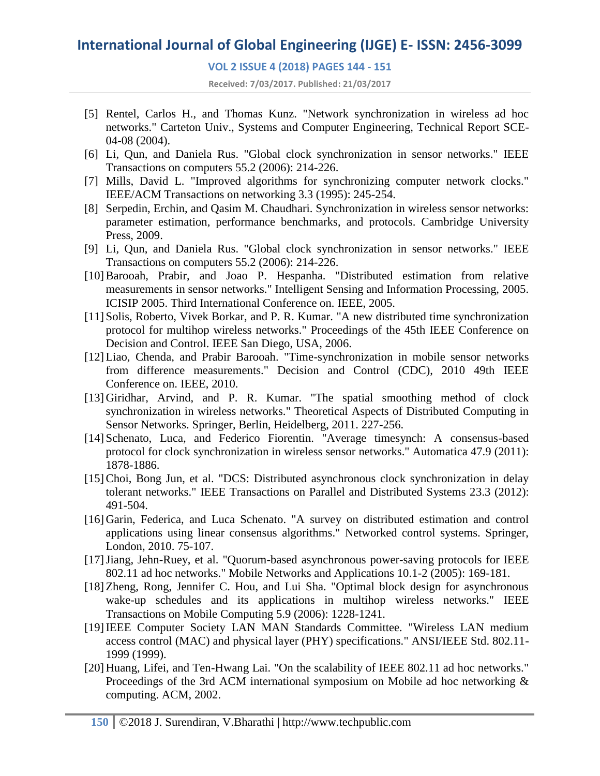#### **VOL 2 ISSUE 4 (2018) PAGES 144 - 151**

**Received: 7/03/2017. Published: 21/03/2017**

- [5] Rentel, Carlos H., and Thomas Kunz. "Network synchronization in wireless ad hoc networks." Carteton Univ., Systems and Computer Engineering, Technical Report SCE-04-08 (2004).
- [6] Li, Qun, and Daniela Rus. "Global clock synchronization in sensor networks." IEEE Transactions on computers 55.2 (2006): 214-226.
- [7] Mills, David L. "Improved algorithms for synchronizing computer network clocks." IEEE/ACM Transactions on networking 3.3 (1995): 245-254.
- [8] Serpedin, Erchin, and Qasim M. Chaudhari. Synchronization in wireless sensor networks: parameter estimation, performance benchmarks, and protocols. Cambridge University Press, 2009.
- [9] Li, Qun, and Daniela Rus. "Global clock synchronization in sensor networks." IEEE Transactions on computers 55.2 (2006): 214-226.
- [10] Barooah, Prabir, and Joao P. Hespanha. "Distributed estimation from relative measurements in sensor networks." Intelligent Sensing and Information Processing, 2005. ICISIP 2005. Third International Conference on. IEEE, 2005.
- [11] Solis, Roberto, Vivek Borkar, and P. R. Kumar. "A new distributed time synchronization protocol for multihop wireless networks." Proceedings of the 45th IEEE Conference on Decision and Control. IEEE San Diego, USA, 2006.
- [12]Liao, Chenda, and Prabir Barooah. "Time-synchronization in mobile sensor networks from difference measurements." Decision and Control (CDC), 2010 49th IEEE Conference on. IEEE, 2010.
- [13] Giridhar, Arvind, and P. R. Kumar. "The spatial smoothing method of clock synchronization in wireless networks." Theoretical Aspects of Distributed Computing in Sensor Networks. Springer, Berlin, Heidelberg, 2011. 227-256.
- [14] Schenato, Luca, and Federico Fiorentin. "Average timesynch: A consensus-based protocol for clock synchronization in wireless sensor networks." Automatica 47.9 (2011): 1878-1886.
- [15]Choi, Bong Jun, et al. "DCS: Distributed asynchronous clock synchronization in delay tolerant networks." IEEE Transactions on Parallel and Distributed Systems 23.3 (2012): 491-504.
- [16] Garin, Federica, and Luca Schenato. "A survey on distributed estimation and control applications using linear consensus algorithms." Networked control systems. Springer, London, 2010. 75-107.
- [17]Jiang, Jehn-Ruey, et al. "Quorum-based asynchronous power-saving protocols for IEEE 802.11 ad hoc networks." Mobile Networks and Applications 10.1-2 (2005): 169-181.
- [18]Zheng, Rong, Jennifer C. Hou, and Lui Sha. "Optimal block design for asynchronous wake-up schedules and its applications in multihop wireless networks." IEEE Transactions on Mobile Computing 5.9 (2006): 1228-1241.
- [19]IEEE Computer Society LAN MAN Standards Committee. "Wireless LAN medium access control (MAC) and physical layer (PHY) specifications." ANSI/IEEE Std. 802.11- 1999 (1999).
- [20] Huang, Lifei, and Ten-Hwang Lai. "On the scalability of IEEE 802.11 ad hoc networks." Proceedings of the 3rd ACM international symposium on Mobile ad hoc networking & computing. ACM, 2002.